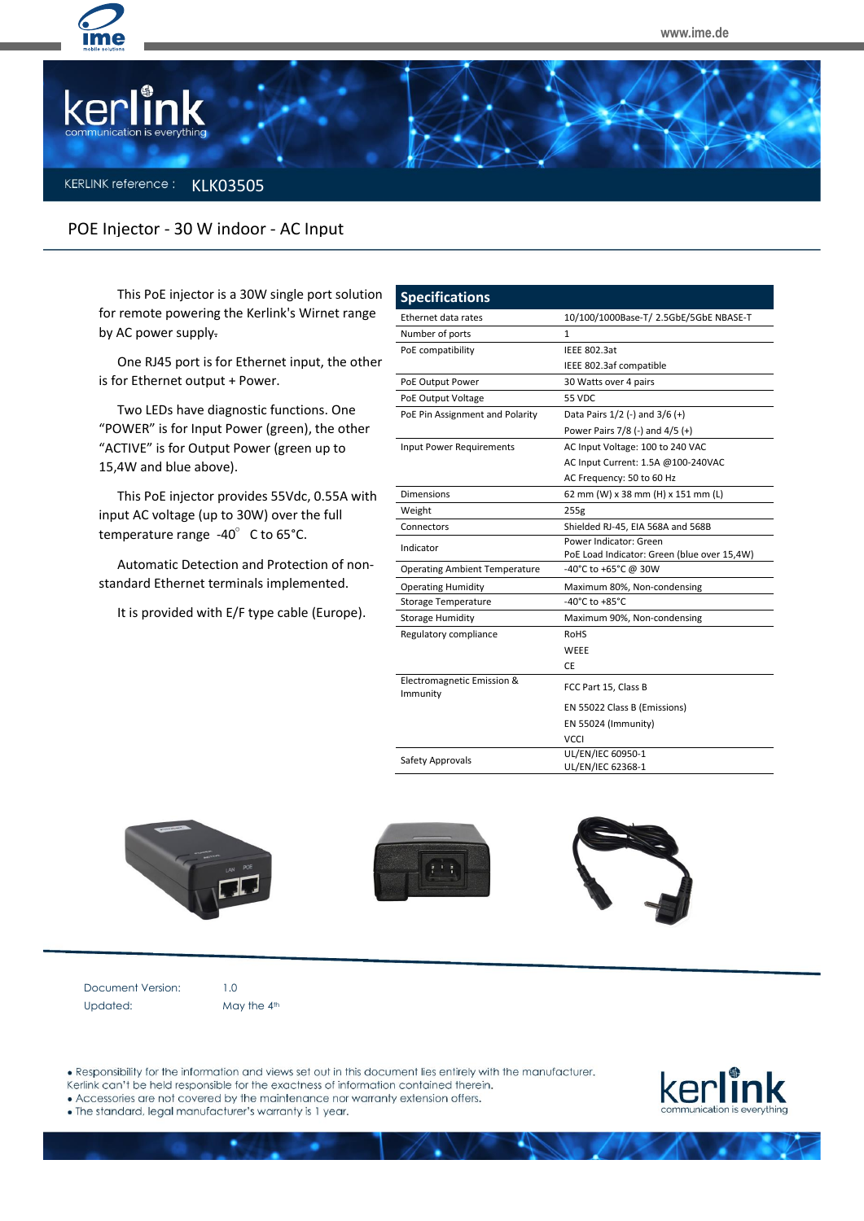



## **KERLINK** reference: **KLK03505**

## POE Injector - 30 W indoor - AC Input

This PoE injector is a 30W single port solution for remote powering the Kerlink's Wirnet range by AC power supply.

One RJ45 port is for Ethernet input, the other is for Ethernet output + Power.

Two LEDs have diagnostic functions. One "POWER" is for Input Power (green), the other "ACTIVE" is for Output Power (green up to 15,4W and blue above).

This PoE injector provides 55Vdc, 0.55A with input AC voltage (up to 30W) over the full temperature range  $-40^\circ$  C to 65°C.

Automatic Detection and Protection of nonstandard Ethernet terminals implemented.

It is provided with E/F type cable (Europe).

| <b>Specifications</b>                  |                                             |  |
|----------------------------------------|---------------------------------------------|--|
| Ethernet data rates                    | 10/100/1000Base-T/ 2.5GbE/5GbE NBASE-T      |  |
| Number of ports                        | 1                                           |  |
| PoE compatibility                      | <b>IEEE 802.3at</b>                         |  |
|                                        | IEEE 802.3af compatible                     |  |
| PoE Output Power                       | 30 Watts over 4 pairs                       |  |
| PoE Output Voltage                     | 55 VDC                                      |  |
| PoE Pin Assignment and Polarity        | Data Pairs 1/2 (-) and 3/6 (+)              |  |
|                                        | Power Pairs 7/8 (-) and 4/5 (+)             |  |
| <b>Input Power Requirements</b>        | AC Input Voltage: 100 to 240 VAC            |  |
|                                        | AC Input Current: 1.5A @100-240VAC          |  |
|                                        | AC Frequency: 50 to 60 Hz                   |  |
| Dimensions                             | 62 mm (W) x 38 mm (H) x 151 mm (L)          |  |
| Weight                                 | 255g                                        |  |
| Connectors                             | Shielded RJ-45, EIA 568A and 568B           |  |
| Indicator                              | Power Indicator: Green                      |  |
|                                        | PoE Load Indicator: Green (blue over 15,4W) |  |
| <b>Operating Ambient Temperature</b>   | -40°C to +65°C @ 30W                        |  |
| <b>Operating Humidity</b>              | Maximum 80%, Non-condensing                 |  |
| <b>Storage Temperature</b>             | $-40^{\circ}$ C to $+85^{\circ}$ C          |  |
| <b>Storage Humidity</b>                | Maximum 90%, Non-condensing                 |  |
| Regulatory compliance                  | <b>RoHS</b>                                 |  |
|                                        | WEEE                                        |  |
|                                        | <b>CE</b>                                   |  |
| Electromagnetic Emission &<br>Immunity | FCC Part 15, Class B                        |  |
|                                        | EN 55022 Class B (Emissions)                |  |
|                                        | EN 55024 (Immunity)                         |  |
|                                        | <b>VCCI</b>                                 |  |
| Safety Approvals                       | UL/EN/IEC 60950-1                           |  |
|                                        | UL/EN/IEC 62368-1                           |  |





Document Version: 1.0 Updated: May the 4<sup>th</sup>

. Responsibility for the information and views set out in this document lies entirely with the manufacturer.

Kerlink can't be held responsible for the exactness of information contained therein.

• Accessories are not covered by the maintenance nor warranty extension offers.



. The standard, legal manufacturer's warranty is 1 year.